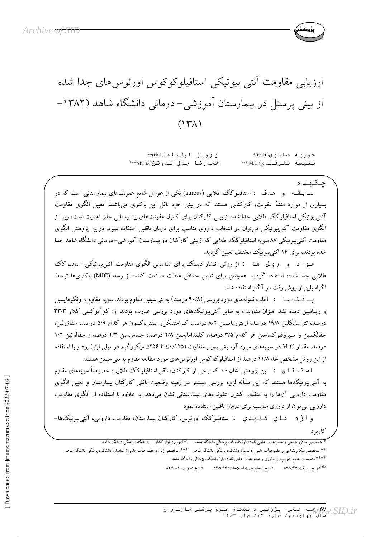

يرويز اولياء (Ph.D.)\*\* حوریه صادری(Ph.D)\* محمدرضا جلالي ندوشن(Ph.D)\*\*\*\* نفيسه ظفرقندي(M.D.)\*\*\*

چکیده .<br>سا بسقــه و هـدف : استافيلوكك طلايي (aureus) يكي از عوامل شايع عفونتهاى بيمارستاني است كه در بسیاری از موارد منشأ عفونت، کارکنانی هستند که در بینی خود ناقل این باکتری میباشند. تعیین الگوی مقاومت آنتیبیوتیکی استافیلوکک طلایی جدا شده از بینی کارکنان برای کنترل عفونتهای بیمارستانی حائز اهمیت است، زیرا از الگوی مقاومت آنتی پیوتیکی می توان در انتخاب داروی مناسب برای درمان ناقلین استفاده نمود. دراین یژوهش الگوی مقاومت آنتی بیوتیکی ۸۷ سویه استافیلوکک طلایی که ازبینی کارکنان دو بیمارستان آموزشی– درمانی دانشگاه شاهد جدا شده بودند، برای ۱۴ آنتی بیوتیک مختلف تعیین گردید.

مبو ا د پور پور ها : از روش انتشار دیسک برای شناسایی الگوی مقاومت آنتی بیوتیکی استافیلوکک طلایی جدا شده، استفاده گردید. همچنین برای تعیین حداقل غلظت ممانعت کننده از رشد (MIC) باکتریها توسط اگزاسبلین از روش رقت در آگار استفاده شد.

یسا فستـه هـا : اغلب نمونههای مورد بررسی (۹۰/۸ درصد) به پنی سیلین مقاوم بودند. سویه مقاوم به ونکومایسین و ریفامپین دیده نشد. میزان مقاومت به سایر آنتی بیوتیکهای مورد بررسی عبارت بودند از: کوآموکسی کلاو ۳۳/۳ درصد، تتراسایکلین ۱۹/۸ درصد، اریترومایسین ۸/۲ درصد، کلرامفنیکل و سفتریاکسون هر کدام ۵/۹ درصد، سفازولین، سفالکسین و سپیروفلوکساسین هر کدام ۳/۵ درصد، کلیندامایسین ۲/۸ درصد، جنتامایسین ۲/۳ درصد و سفالوتین ۱/۲ درصد. مقدار MIC در سویههای مورد آزمایش بسیار متفاوت (۱۲۵٪ک تا ۲۵۶≤میکروگرم در میلی لیتر) بود و با استفاده از این روش مشخص شد ۱۱/۸ درصد از استافیلوکوکوس اورئوس های مورد مطالعه مقاوم به متی سیلین هستند.

ا سـتــنــتـــا ج : اين پژوهش نشان داد كه برخي از كاركنان، ناقل استافيلوكك طلايبي، خصوصاً سويههاي مقاوم به آنتیبیوتیک ها هستند که این مسأله لزوم بررسی مستمر در زمینه وضعیت ناقلی کارکنان بیمارستان و تعیین الگوی مقاومت دارویی آنها را به منظور کنترل عفونتهای بیمارستانی نشان میدهد. به علاوه با استفاده از الگوی مقاومت دارویی می توان از داروی مناسب برای درمان ناقلین استفاده نمود

و آ ژ ه هسا ي کليد ي : استافيلوکک اورئوس، کارکنان بيمارستان، مقاومت دارويي، آنتي بيوتيک ها-كاربرد

\_<br>متخصص میکروبشناسی و عضو هیأت علمی (استادیار) دانشکده پزشکی دانشگاه شاهد ‱ لکا تهران: بلوار کشاورز−دانشکده پزشکی دانشگاه شاهد \*\* متخصص میکروبشناسی و عضو هیأت علمی (دانشیار) دانشکده پزشکی دانشگاه شاهد \*\*\* متخصص زنان و عضو هیأت علمی (استادیار) دانشکده پزشکی دانشگاه شاهد \*\*\*\* متخصص علوم تشريح و پاتولوژي و عضو هيأت علمي (استاديار) دانشكده پزشكي دانشگاه شاهد <sup>3</sup>تاريخ دريافت: ۸۲/۷/۲۷ تاريخ ارجاع جهت اصلاحات: ۸۲/۹/۱۲ تاريخ تصويب: ۸۲/۱۱/۱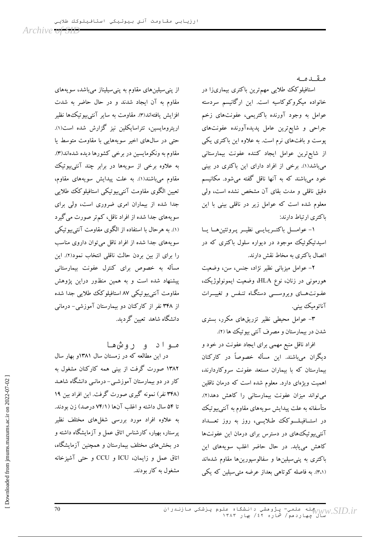Archive <del>of SID</del>

مقىدمە

استافیلوکک طلایی مهمترین باکتری بیماریزا در خانواده میکروکوکاسیه است. این ارگانیسم سردسته عوامل به وجود آورنده باکتریمی، عفونتهای زخم جراحی و شایع ترین عامل پدیده آورنده عفونتهای پوست و بافتهای نرم است. به علاوه این باکتری یکی از شایع ترین عوامل ایجاد کننده عفونت بیمارستانی میباشد(۱). برخی از افراد دارای این باکتری در بینی خود می باشند که به آنها ناقل گفته می شود. مکانیسم دقیق ناقلی و مدت بقای آن مشخص نشده است، ولی معلوم شده است که عوامل زیر در ناقلی بینی با این باكترى ارتباط دارند:

١- عوامــل باكتــريـايــي نظيــر پـروتئينِهــا يــا اسیدتیکوئیک موجود در دیواره سلول باکتری که در اتصال باكترى به مخاط نقش دارند.

٢- عوامل ميزباني نظير نژاد، جنس، سن، وضعيت هورمونی در زنان، نوع HLA، وضعیت ایمونولوژیک، عفونتهای ویروسهی دستگاه تنفس و تغییـرات آناتوميک بينې.

۳– عوامل محیطی نظیر تزریقهای مکرر، بستری شدن در بیمارستان و مصرف آنتی بیوتیک ها (۲).

افراد ناقل منبع مهمی برای ایجاد عفونت در خود و دیگران میباشند. این مسأله خصوصاً در کارکنان بیمارستان که با بیماران مستعد عفونت سروکاردارند، اهمیت ویژهای دارد. معلوم شده است که درمان ناقلین می تواند میزان عفونت بیمارستانی را کاهش دهد(۲). متأسفانه به علت پیدایش سویههای مقاوم به آنتی بیوتیک در استــافیـلـــوکک طـلایـــی، روز به روز تعـــداد آنتی بیوتیک های در دسترس برای درمان این عفونتها کاهش می یابد. در حال حاضر اغلب سویههای این باکتری به پنی سیلینها و سفالوسپورینها مقاوم شدهاند (٣،١). به فاصله کو تاهی بعداز عرضه متی سیلین که یکی

از پنی سیلینهای مقاوم به پنی سیلیناز میباشد، سویههای مقاوم به آن ایجاد شدند و در حال حاضر به شدت افزايش يافتهاند(٣). مقاومت به ساير آنتي بيو تيك ها نظير اریترومایسین، تتراسایکلین نیز گزارش شده است(۱). حتی در سالهای اخیر سویههایی با مقاومت متوسط یا مقاوم به ونکومایسین در برخی کشورها دیده شدهاند(۳). به علاوه برخی از سویهها در برابر چند آنتیبیوتیک مقاوم میباشند(۱). به علت پیدایش سویههای مقاوم، تعیین الگوی مقاومت آنتیبیوتیکی استافیلوکک طلایی جدا شده از بیماران امری ضروری است، ولی برای سویههای جدا شده از افراد ناقل، کم تر صورت میگیرد (۱). به هرحال با استفاده از الگوی مقاومت آنتی بیوتیکی سویههای جدا شده از افراد ناقل می توان داروی مناسب را برای از بین بردن حالت ناقلی انتخاب نمود(۲). این مسأله به خصوص برای کنترل عفونت بیمارستانی پیشنهاد شده است و به همین منظور دراین پژوهش مقاومت آنتی بیوتیکی ۸۷ استافیلوکک طلایی جدا شده از ۳۴۸ نفر از کارکنان دو بیمارستان آموزشی- درمانی دانشگاه شاهد تعیین گردید.

مـواد و روش،هـا

در این مطالعه که در زمستان سال ۱۳۸۱و بهار سال ۱۳۸۲ صورت گرفت از بینی همه کارکنان مشغول به کار در دو بیمارستان آموزشـی- درمانـی دانشگاه شاهـد (۳۴۸ نفر) نمونه گیری صورت گرفت. این افراد بین ۱۹ تا ۵۴ سال داشته و اغلب آنها (۷۴/۱ درصد) زن بودند. به علاوه افراد مورد بررسی شغلهای مختلف نظیر پرستار، بهیار، کارشناس اتاق عمل و آزمایشگاه داشته و در بخشهای مختلف بیمارستان و همچنین آزمایشگاه، اتاق عمل و زایمان، ICU و CCU و حتى آشپزخانه مشغول به کار بودند.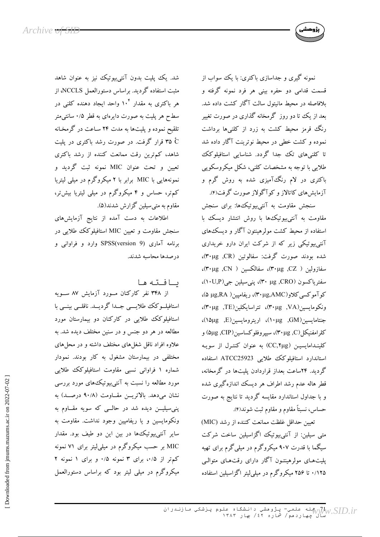

سنجش مقاومت به آنتي بيوتيک&ا: براي سنجش مقاومت به آنتیبیوتیک ها با روش انتشار دیسک با استفاده از محیط کشت مولر هینتون آگار و دیسک های آنتی بیوتیکی زیر که از شرکت ایران دارو خریداری شده بودند صورت گرفت: سفالوتین (۳۰μg). سفازولین ( CZ, ۳۰μg)، سفالکسین ( ۳۰μg)، سفترياكسون (CRO, μg)، پنيسيلين جي(١٠U,P)، کو آموکسی کلاو(۳۰μg,AMC)، ریفامپین( ۵ μg,RA)، ونكومايسين(VA, ٣٠μg)، تتراسايكلين(TE, ٣٠μg)، جنتامايسين(GM, GM, و(۱۰μg)، اريترومايسين(E, ε)، كلرامفنيكل(P·μg ,C)، سييروفلوكساسين(CIP, ۵μg) و کلینـدامایسیـن (CC,۲μg) به عنوان کنتـرل از سویـه استاندارد استافیلوکک طلایی ATCC25923 استفاده گردید. ۲۴ساعت بعداز قراردادن پلیتها در گرمخانه، قطر هاله عدم رشد اطراف هر دیسک اندازهگیری شده و با جداول استاندارد مقایسه گردید تا نتایج به صورت حساس، نسبتاً مقاوم و مقاوم ثبت شوند(۴).

تعيين حداقل غلظت ممانعت كننده از رشد (MIC) متی سیلین: از آنتی بیوتیک اگزاسیلین ساخت شرکت سیگما با قدرت ۹۰۷ میکروگرم در میلیگرم برای تهیه پلیتهای مولرهینتون آگار دارای رقتهای متوالبی ۱/۲۵ تا ۲۵۶ میکروگرم در میلیلیتر اگزاسیلین استفاده

شد. یک پلیت بدون آنتیبیوتیک نیز به عنوان شاهد مثبت استفاده گردید. براساس دستورالعمل NCCLS، از هر باکتری به مقدار ۱۰<sup>۴</sup> واحد ایجاد دهنده کلنی در سطح هر پلیت به صورت دایرهای به قطر ۰/۵ سانتی متر تلقیح نموده و پلیتها به مدت ۲۴ سـاعت در گرمخـانه ۴۵ ٌ قرار گرفت. در صورت رشد باکتری در پلیت شاهد، کم ترین رقت ممانعت کننده از رشد باکتری تعیین و تحت عنوان MIC نمونه ثبت گردید و نمونههایی با MIC برابر با ۲ میکروگرم در میلی لیتریا کم تر، حساس و ۴ میکروگرم در میلی لیتریا بیش تر، مقاوم به متى سيلين گزارش شدند(۵).

اطلاعات به دست آمده از نتایج آزمایشهای سنجش مقاومت و تعیین MIC استافیلوکک طلایی در برنامه آماری (SPSS(version 9 وارد و فراوانی و درصدها محاسبه شدند.

يافته ها

از ۳۴۸ نفر کارکنان مورد آزمایش ۸۷ سـویه استافیلــوکک طلایــــی جـــدا گردیـــد. ناقلـــی بینـــی با استافیلوکک طلایی در کارکنان دو بیمارستان مورد مطالعه در هر دو جنس و در سنین مختلف دیده شد. به علاوه افراد ناقل شغلهای مختلف داشته و در محلهای مختلفی در بیمارستان مشغول به کار بودند. نمودار شماره ۱ فراوانی نسبی مقاومت استافیلوکک طلایی مورد مطالعه را نسبت به آنتی بیوتیک های مورد بررسی نشان میدهد. بالاتریسن مقساومت (۹۰/۸ درصـد) به ینی سیلیـــن دیده شد در حالـــی که سویه مقـــاوم به ونکومایسین و یا ریفامپین وجود نداشت. مقاومت به سایر آنتی بیوتیک ها در بین این دو طیف بود. مقدار MIC بر حسب میکروگرم در میلی لیتر برای ۷۱ نمونه کم تر از ۰/۵؛ برای ۳ نمونه ۰/۵ و برای ۱ نمونه ۲ میکروگرم در میلی لیتر بود که براساس دستورالعمل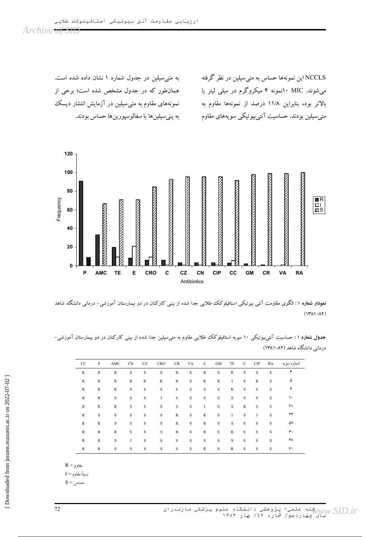NCCLS این نمونهها حساس به متیسیلین در نظر گرفته میشوند. MIC ۱۰نمونه ۴ میکروگرم در میلی لیتر یا بالاتر بود، بنابراین ۱۱/۸ درصد از نمونهها مقاوم به متی سیلین بودند. حساسیت آنتیبیوتیکی سویههای مقاوم

به متی سیلین در جدول شماره ۱ نشان داده شده است. همانطور که در جدول مشخص شده است؛ برخی از نمونههای مقاوم به متی $\mathbf{u}_\omega$ سیلین در ازمایش انتشار دیسک به پنىسيلينها يا سفالوسپورينها حساس بودند.



**نمودار شماره ۱**: الکوی مقاومت انتی بیوتیکی استافیلوکک طلایی جدا شده از بینی کارکنان در دو بیمارستان اموزشی– درمانی دانشکاه شاهد  $(14A - A)$ 

**جدول شماره ۱** : حساسیت آنتی بیوتیکی ۱۰ سویه استافیلوکک طلایی مقاوم به متی سیلین جدا شده از بینی کارکنان در دو بیمارستان آموزشی– درمانی دانشگاه شاهد (۸۲–۱۳۸۱)

| CC           | $\mathbf{P}$ | AMC          | <b>CN</b>    | CZ           | <b>CRO</b>   | CR           | VA | E            | GM           | TE           | $\mathsf{C}$ | <b>CIP</b>   | RA | شماره سویه |
|--------------|--------------|--------------|--------------|--------------|--------------|--------------|----|--------------|--------------|--------------|--------------|--------------|----|------------|
| R            | R            | $\mathbb{R}$ | S            | S            | S            | $\mathbb{R}$ | S  | $\mathbb{R}$ | S            | $\mathbb{R}$ | S            | S            | S  |            |
| R            | $\mathbb{R}$ | $\mathbb{R}$ | $\mathbb{R}$ | $\mathbb{R}$ | $\mathbb{R}$ | $\mathbb{R}$ | S  | $\mathbb{R}$ | $\mathbb{R}$ | $\bf{I}$     | S            | $\mathbb{R}$ | S  | ۵          |
| R            | $\mathbb{R}$ | R            | S            | S            | S            | S            | S  | S            | S            | $\mathbb{R}$ | S            | S            | S  | ۶          |
| $\mathbb{R}$ | R            | $\mathbf S$  | S            | S            | I            | S            | S  | $\mathbf S$  | $\mathbf S$  | $\rm S$      | S            | S            | S  | ۱۰         |
| R            | $\mathbb{R}$ | R            | S            | S            | S            | S            | S  | $\mathbf{I}$ | S            | S            | $\mathbb{R}$ | S            | S  | ۲۱         |
| R            | S            | $\rm S$      | S            | S            | S            | $\mathbb{R}$ | S  | $\mathbb{R}$ | S            | $\bf{I}$     | S            | I            | S  | ۲۳         |
| $\mathbb{R}$ | $\mathbb{R}$ | $\mathbf S$  | S            | S            | S            | $\mathbb{R}$ | S  | $\mathbb{R}$ | $\mathbf S$  | $\mathbf S$  | S            | S            | S  | ۵٧         |
| $\mathbb{R}$ | $\mathbb{R}$ | $\mathbb R$  | S            | S            | S            | $\mathbb{R}$ | S  | $\mathbb{R}$ | $\rm S$      | $\mathbb{R}$ | S            | S            | S  | ۶.         |
| $\mathbb{R}$ | $\mathbb{R}$ | $\mathbf S$  | $\bf{I}$     | S            | S            | S            | S  | S            | S            | $\mathbf S$  | S            | S            | S  | ۶۸         |
| R            | $\mathbb{R}$ | S            | S            | S            | S            | S            | S  | $\mathbb{R}$ | S            | $\mathbb{R}$ | S            | S            | S  | ٧٠         |

 $R =$ مقاوم

 $I = \mathsf{S}$ نسبتاً مقاوم

 $S =$ ساس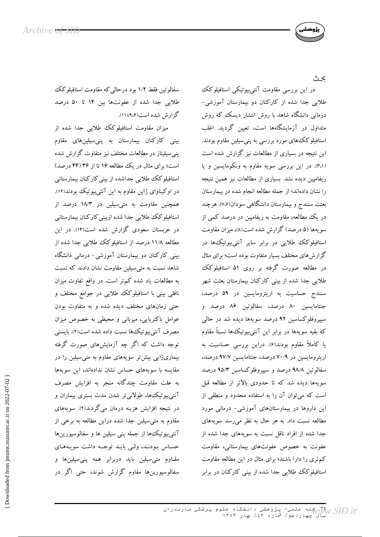

عث

در این بررسی مقاومت آنتیبیوتیکی استافیلوکک طلایی جدا شده از کارکنان دو بیمارستان آموزشی-درمانی دانشگاه شاهد با روش انتشار دیسک که روش متداول در آزمایشگاهها است، تعیین گردید. اغلب استافیلوکک های مورد بررسی به پنی سیلین مقاوم بودند. این نتیجه در بسیاری از مطالعات نیز گزارش شده است (٣،١). در این بررسی سویه مقاوم به ونکومایسین و یا ریفامیین دیده نشد. بسیاری از مطالعات نیز همین نتیجه را نشان دادهاند؛ از جمله مطالعه انجام شده در بیمارستان بعثت سنندج و بیمارستان دانشگاهی سودان(۷،۶). هرچند در یک مطالعه، مقاومت به ریفامپین در درصد کمی از سویهها (۵ درصد) گزارش شده است(۸)، میزان مقاومت استافیلوکک طلایی در برابر سایر آنتی بیوتیک ها در گزارش های مختلف بسیار متفاوت بوده است؛ برای مثال در مطالعه صورت گرفته بر روی ۵۱ استافیلوکک طلایی جدا شده از بینی کارکنان بیمارستان بعثت شهر سنندج حساسیت به اریترومایسین در ۵۹ درصد، جنتامایسین ۸۰ درصد، سفالوتین ۸۶ درصد و سیپروفلوکساسین ۹۲ درصد سویهها دیده شد در حالمی که بقیه سویهها در برابر این آنتیبیوتیک ها نسبتاً مقاوم یا کاملاً مقاوم بودند(۶). دراین بررسی حساسیت به اریترومایسین در ۷۰/۹ درصد، جنتامایسین ۹۷/۷ درصد، سفالوتین ۹۸/۸ درصد و سپیروفلوکساسین ۹۵/۳ درصد سویهها دیده شد که تا حدودی بالاتر از مطالعه قبل است که میتوان آن را به استفاده محدود و منطقی از این داروها در بیمارستانهای آموزشی- درمانی مورد مطالعه نسبت داد. به هر حال به نظر می رسد سویههای جدا شده از افراد ناقل نسبت به سویههای جدا شده از عفونت به خصوص عفونتهای بیمارستانی، مقاومت کم تری را دارا باشند؛ برای مثال در این مطالعه مقاومت استافیلوکک طلایی جدا شده از بینی کارکنان در برابر

سفالوتین فقط ۱/۲ بود درحالی که مقاومت استافیلوکک طلایی جدا شده از عفونتها بین ۱۴ تا ۵۰ درصد گزارش شده است(۱۱۵٬۶تا۱۱).

میزان مقاومت استافیلوکک طلایی جدا شده از بینی کارکنان بیمارستان به پنی سیلینهای مقاوم ینی سیلیناز در مطالعات مختلف نیز متفاوت گزارش شده است؛ برای مثال در یک مطالعه ۱۶ تا از ۳۶ (۴۴ درصد) استافیلوکک طلایی جداشده از بینی کارکنان بیمارستانی در اوکیناوای ژاپن مقاوم به این آنتی بیوتیک بودند(۱۲). همچنین مقاومت به متی سیلین در ۱۸/۳ درصد از استافیلوکک طلایی جدا شده ازبینی کارکنان بیمارستانی در عربستان سعودی گزارش شده است(۱۳). در این مطالعه ۱۱/۸ درصد از استافیلوکک طلایی جدا شده از بینی کارکنان دو بیمارستان آموزشی- درمانی دانشگاه شاهد نسبت به متى سيلين مقاومت نشان دادند كه نسبت به مطالعات یاد شده کمتر است. در واقع تفاوت میزان ناقلی بینی با استافیلوکک طلایی در جوامع مختلف و حتی زمانهای مختلف دیده شده و به متفاوت بودن عوامل باکتریایی، میزبانی و محیطی به خصوص میزان مصرف آنتي بيوتيك ها نسبت داده شده است(٢). بايستي توجه داشت که اگر چه آزمایشهای صورت گرفته بیماریزایی بیش تر سویههای مقاوم به متی سیلین را در مقایسه با سویههای حساس نشان ندادهاند، این سویهها به علت مقاومت چندگانه منجر به افزایش مصرف آنتی بیوتیک ها، طولانی تر شدن مدت بستری بیماران و در نتیجه افزایش هزینه درمان میگردند(۲). سویههای مقاوم به متى سيلين جدا شده دراين مطالعه به برخى از آنتی بیوتیک ها از جمله پنی سیلین ها و سفالوسپورینها حساس بودند، ولبي بايـد توجـه داشت سويـههـاي مقاوم متی سیلین باید دربرابر همه پنی سیلینها و سفالوسپورینها مقاوم گزارش شوند، حتی اگر در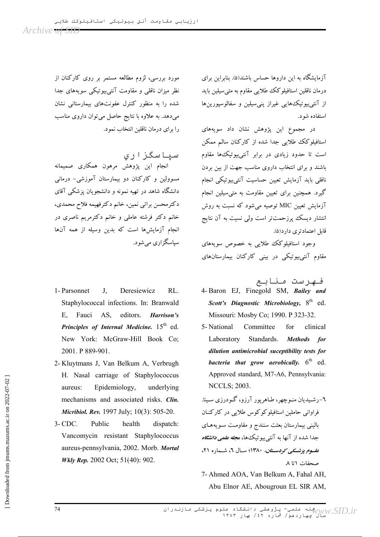آزمایشگاه به این داروها حساس باشند(۵). بنابراین برای درمان ناقلین استافیلوکک طلایی مقاوم به متی سیلین باید از آنتی بیوتیک هایی غیراز پنی سیلین و سفالوسپورین ها استفاده شه د.

در مجموع این پژوهش نشان داد سویههای استافیلوکک طلایی جدا شده از کارکنان سالم ممکن است تا حدود زیادی در برابر آنتی بیوتیک ها مقاوم باشند و برای انتخاب داروی مناسب جهت از بین بردن ناقلبی باید آزمایش تعیین حساسیت آنتی بیو تیکی انجام گیرد. همچنین برای تعیین مقاومت به متی سیلین انجام آزمایش تعیین MIC توصیه می شود که نسبت به روش انتشار دیسک پرزحمتتر است ولی نسیت به آن نتایج قابل اعتمادتری دار د(۵).

وجود استافیلوکک طلایی به خصوص سوپههای مقاوم آنتیبیوتیکی در بینی کارکنان بیمارستانهای

فهرست منابع

- 4- Baron EJ, Finegold SM, Bailey and Scott's Diagnostic Microbiology,  $8<sup>th</sup>$  ed. Missouri: Mosby Co; 1990. P 323-32.
- 5- National Committee for clinical Laboratory Standards. Methods for dilution antimicrobial suceptibility tests for bacteria that grow aerobically.  $6<sup>th</sup>$  ed. Approved standard, M7-A6, Pennsylvania: **NCCLS**; 2003.

٦-رشـيديان منـوچهر، طـاهريور آرزو، گـودرزي سـينا. فراوانی حاملین استافیلوکوکوس طلایی در کارکنـان بالینی بیمارستان بعثت سنندج و مقاومت سویههای جدا شده از آنها به آنت<u>ی بیو</u>تیک ها، *مجله علمی دانشگاه علسوم یوشسکے کو دستان، ۱۳۸۰*؛ سیال ۲، شیماره ۲۱، صحفات \تا ٨

7- Ahmed AOA, Van Belkum A, Fahal AH, Abu Elnor AE, Abougroun EL SIR AM,

مورد بررسی، لزوم مطالعه مستمر بر روی کارکنان از نظر میزان ناقلبی و مقاومت آنتی بیوتیکی سویههای جدا شده را به منظور کنترل عفونتهای بیمارستانی نشان می دهد. به علاوه با نتایج حاصل می توان داروی مناسب را برای درمان ناقلین انتخاب نمود.

سیاسگزاری انجام این پژوهش مرهون همکاری صمیمانه مسوولین و کارکنان دو بیمارستان آموزشی- درمانی دانشگاه شاهد در تهیه نمونه و دانشجویان پزشکی آقای دکترمحسن براتي نمين، خانم دکترفهيمه فلاح محمدي، خانم دکتر فرشته عاملی و خانم دکترمریم ناصری در انجام آزمایشها است که بدین وسیله از همه آنها سیاسگز اری مے شو د.

- 1- Parsonnet  $RI$  $J<sub>r</sub>$ Deresiewicz Staphylococcal infections. In: Branwald editors. E. Fauci AS. Harrison's Principles of Internal Medicine. 15th ed. New York: McGraw-Hill Book Co; 2001. P 889-901.
- 2-Kluytmans J, Van Belkum A, Verbrugh H. Nasal carriage of Staphylococcus aureus: Epidemiology, underlying mechanisms and associated risks. Clin. Micribiol. Rev. 1997 July; 10(3): 505-20.
- $3-CDC$ Public health dispatch: Vancomycin resistant Staphylococcus aureus-pennsylvania, 2002. Morb. Mortal Wkly Rep. 2002 Oct; 51(40): 902.